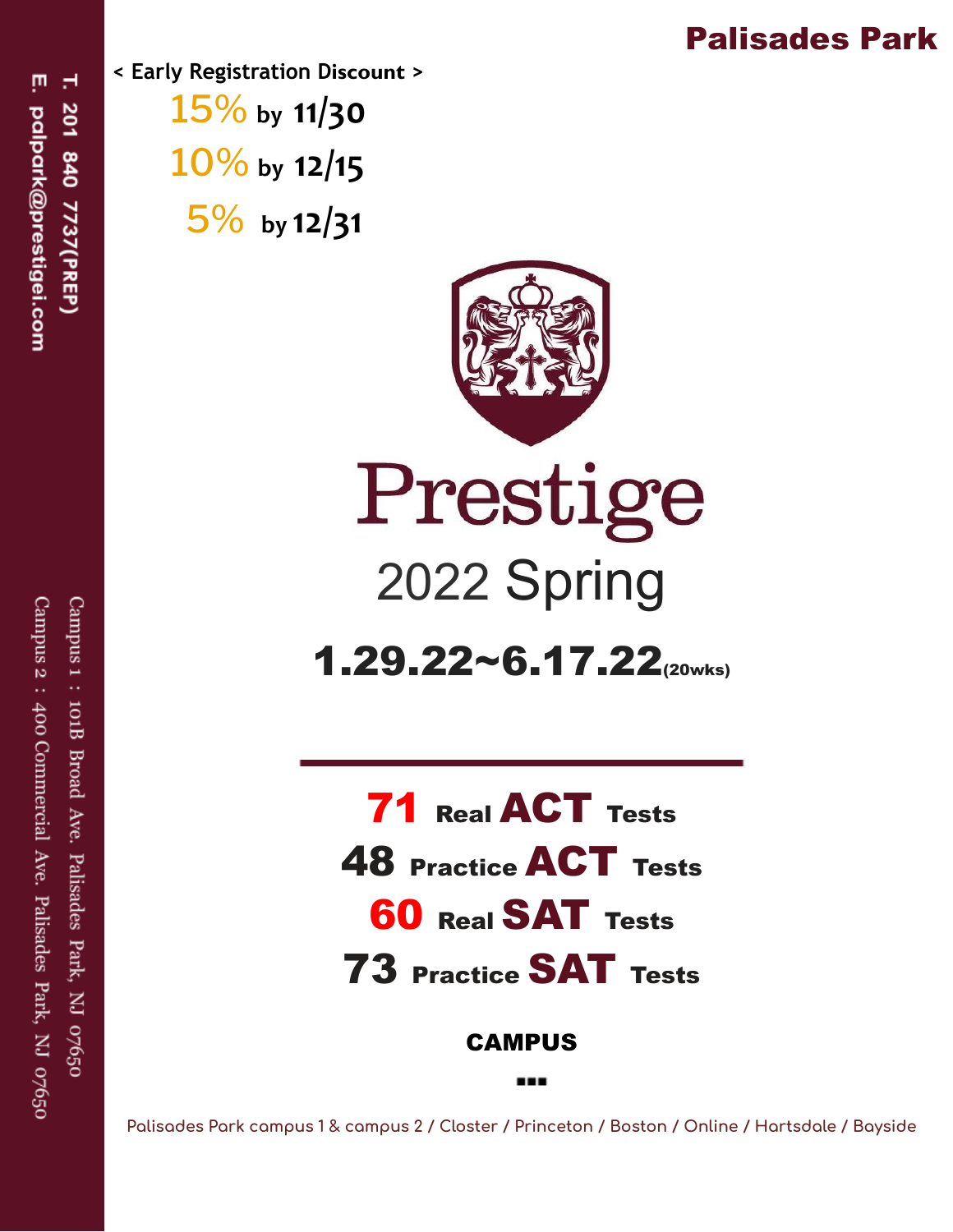## Palisades Park

Ţ H palpark@prestigei.com 201 840 7737(PREP)

 **< Early Registration D iscount >**  15% **by 11/30**  10% **by 12/15**  5% **by 12/31** 



## Prestige 2022 Spring

 $1.29.22~6.17.22$  (20wks)

Real ACT Tests Practice ACT Tests **60 Real SAT Tests** Practice SAT Tests

CAMPUS

 **Palisades Park campus 1 & campus 2 / Closter / Princeton / Boston / Online / Hartsdale / Bayside**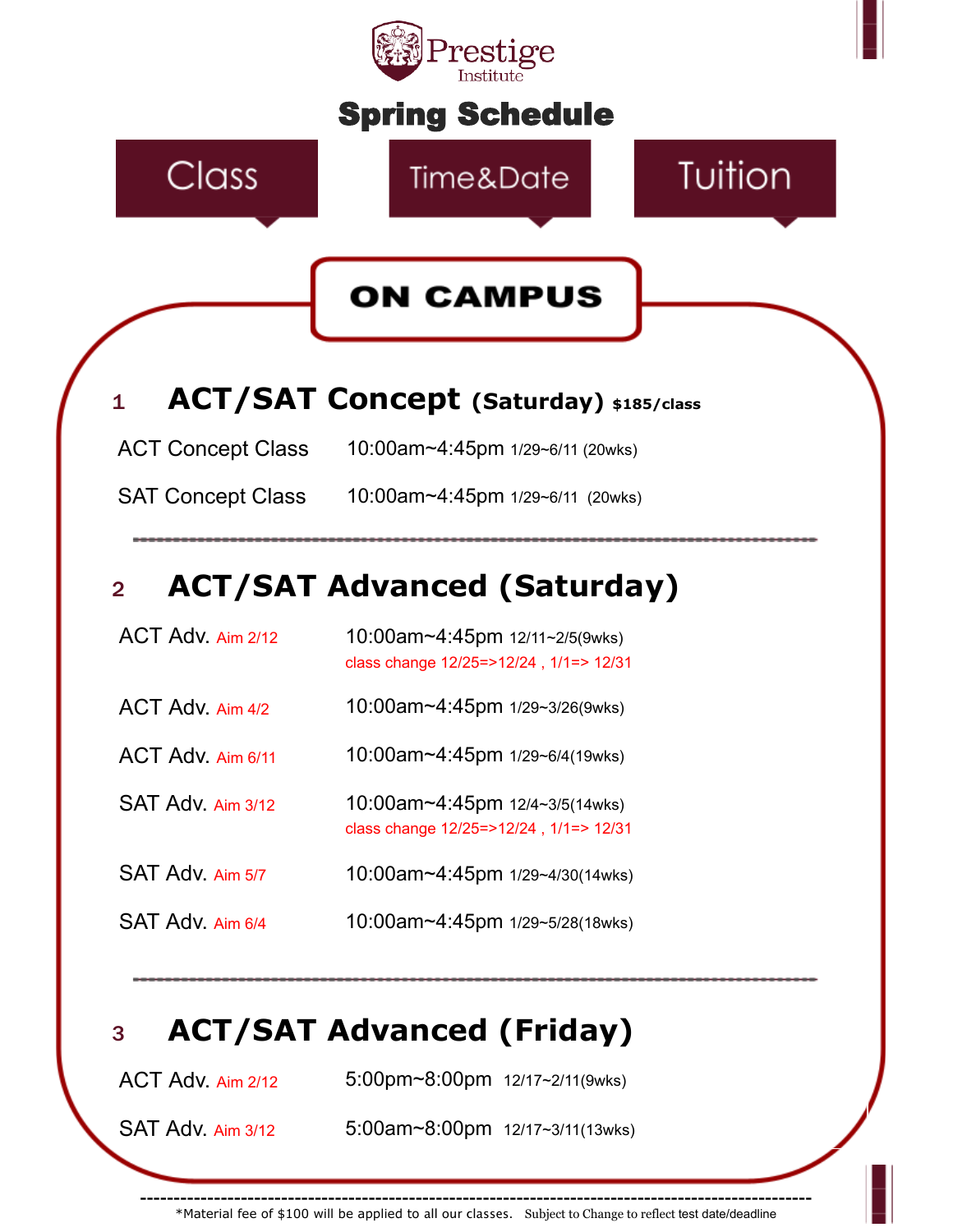

\*Material fee of \$100 will be applied to all our classes. Subject to Change to reflect test date/deadline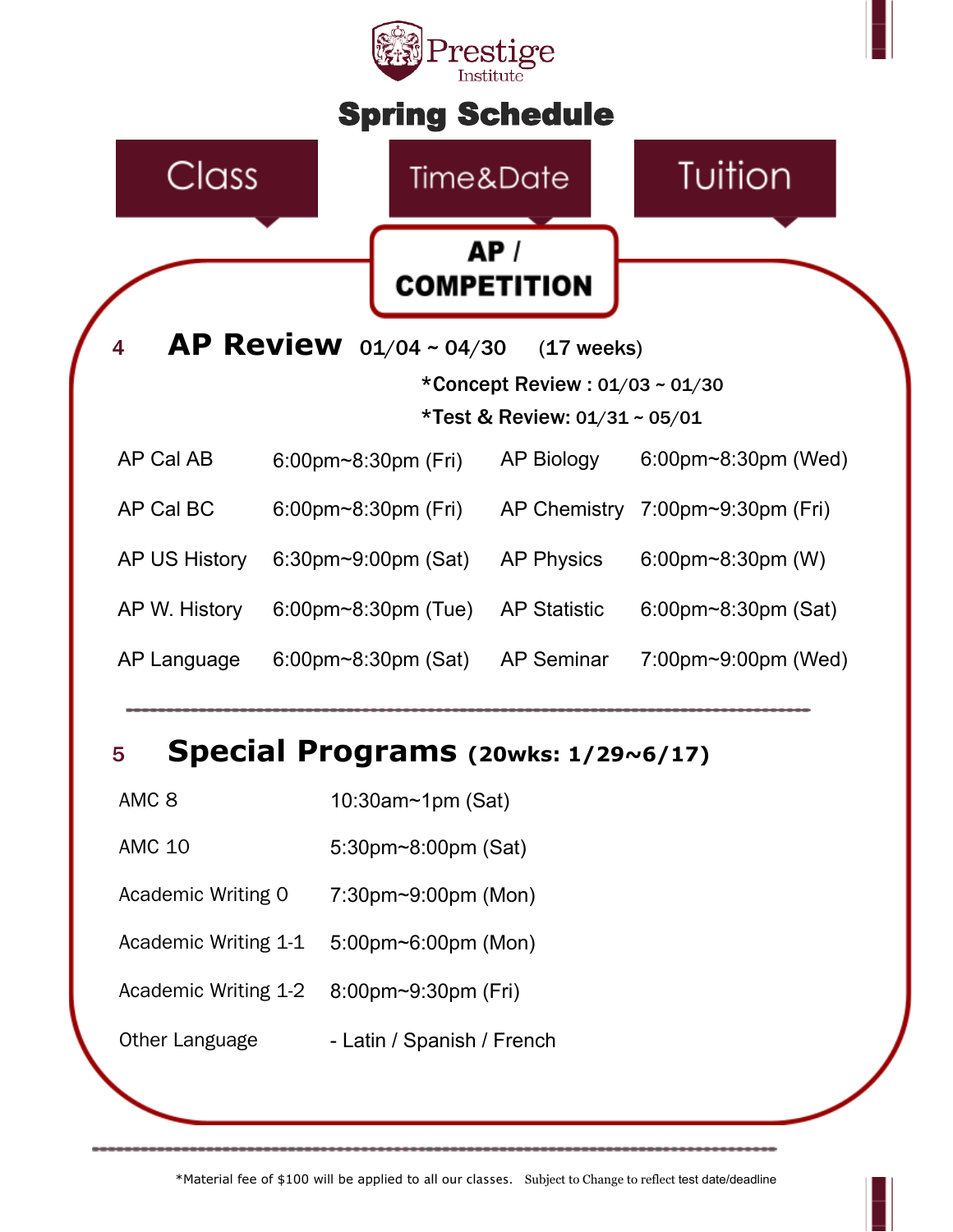

## 5 **Special Programs (20wks: 1/29~6/17)**

- AMC 8 10:30am~1pm (Sat)
- AMC 10 5:30pm~8:00pm (Sat)
- Academic Writing 0 7:30pm~9:00pm (Mon)
- Academic Writing 1-1 5:00pm~6:00pm (Mon)
- Academic Writing 1-2 8:00pm~9:30pm (Fri)
- Other Language  **Latin / Spanish / French**